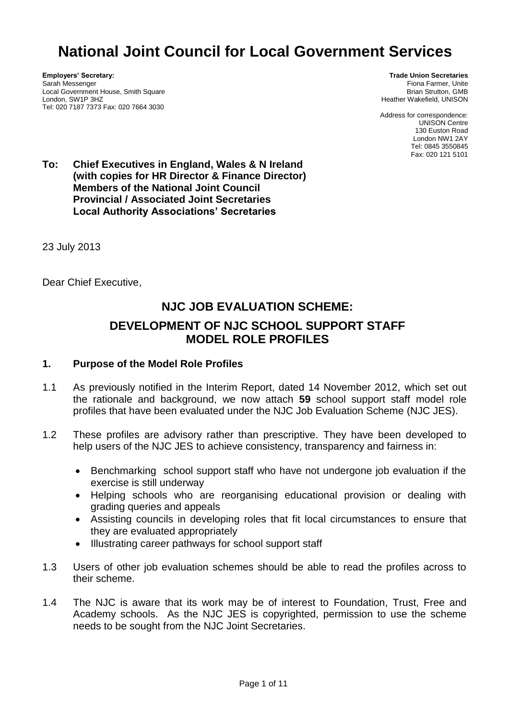# **National Joint Council for Local Government Services**

**Employers' Secretary:** Sarah Messenger Local Government House, Smith Square London, SW1P 3HZ Tel: 020 7187 7373 Fax: 020 7664 3030

**Trade Union Secretaries** Fiona Farmer, Unite Brian Strutton, GMB Heather Wakefield, UNISON

Address for correspondence: UNISON Centre 130 Euston Road London NW1 2AY Tel: 0845 3550845 Fax: 020 121 5101

**To: Chief Executives in England, Wales & N Ireland (with copies for HR Director & Finance Director) Members of the National Joint Council Provincial / Associated Joint Secretaries Local Authority Associations' Secretaries**

23 July 2013

Dear Chief Executive,

## **NJC JOB EVALUATION SCHEME: DEVELOPMENT OF NJC SCHOOL SUPPORT STAFF MODEL ROLE PROFILES**

#### **1. Purpose of the Model Role Profiles**

- 1.1 As previously notified in the Interim Report, dated 14 November 2012, which set out the rationale and background, we now attach **59** school support staff model role profiles that have been evaluated under the NJC Job Evaluation Scheme (NJC JES).
- 1.2 These profiles are advisory rather than prescriptive. They have been developed to help users of the NJC JES to achieve consistency, transparency and fairness in:
	- Benchmarking school support staff who have not undergone job evaluation if the exercise is still underway
	- Helping schools who are reorganising educational provision or dealing with grading queries and appeals
	- Assisting councils in developing roles that fit local circumstances to ensure that they are evaluated appropriately
	- Illustrating career pathways for school support staff
- 1.3 Users of other job evaluation schemes should be able to read the profiles across to their scheme.
- 1.4 The NJC is aware that its work may be of interest to Foundation, Trust, Free and Academy schools. As the NJC JES is copyrighted, permission to use the scheme needs to be sought from the NJC Joint Secretaries.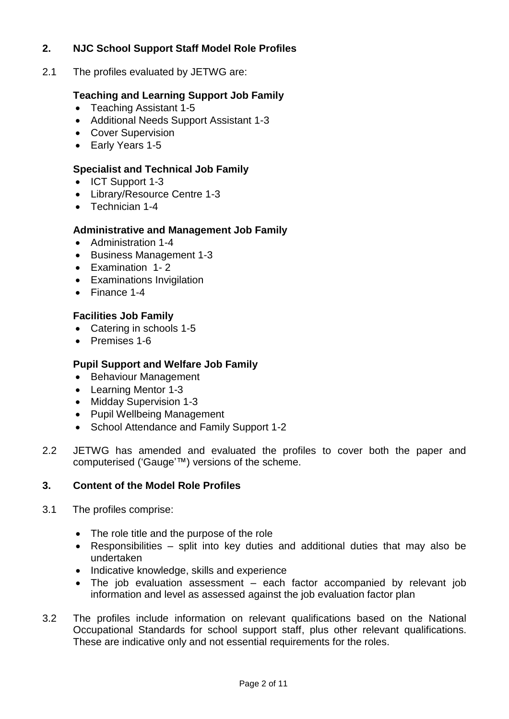## **2. NJC School Support Staff Model Role Profiles**

2.1 The profiles evaluated by JETWG are:

## **Teaching and Learning Support Job Family**

- Teaching Assistant 1-5
- Additional Needs Support Assistant 1-3
- Cover Supervision
- Early Years 1-5

## **Specialist and Technical Job Family**

- ICT Support 1-3
- Library/Resource Centre 1-3
- Technician 1-4

## **Administrative and Management Job Family**

- Administration 1-4
- Business Management 1-3
- Examination 1- 2
- Examinations Invigilation
- Finance 1-4

## **Facilities Job Family**

- Catering in schools 1-5
- Premises 1-6

## **Pupil Support and Welfare Job Family**

- Behaviour Management
- Learning Mentor 1-3
- Midday Supervision 1-3
- Pupil Wellbeing Management
- School Attendance and Family Support 1-2
- 2.2 JETWG has amended and evaluated the profiles to cover both the paper and computerised ('Gauge'™) versions of the scheme.

#### **3. Content of the Model Role Profiles**

- 3.1 The profiles comprise:
	- The role title and the purpose of the role
	- Responsibilities split into key duties and additional duties that may also be undertaken
	- Indicative knowledge, skills and experience
	- The job evaluation assessment each factor accompanied by relevant job information and level as assessed against the job evaluation factor plan
- 3.2 The profiles include information on relevant qualifications based on the National Occupational Standards for school support staff, plus other relevant qualifications. These are indicative only and not essential requirements for the roles.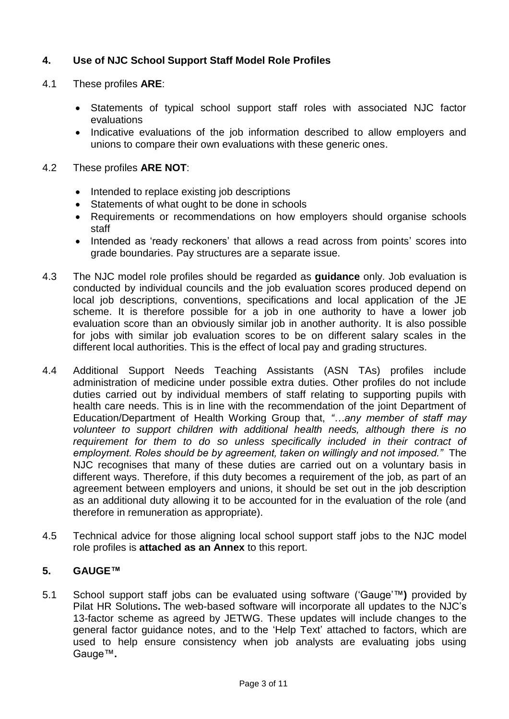## **4. Use of NJC School Support Staff Model Role Profiles**

- 4.1 These profiles **ARE**:
	- Statements of typical school support staff roles with associated NJC factor evaluations
	- Indicative evaluations of the job information described to allow employers and unions to compare their own evaluations with these generic ones.

### 4.2 These profiles **ARE NOT**:

- Intended to replace existing job descriptions
- Statements of what ought to be done in schools
- Requirements or recommendations on how employers should organise schools staff
- Intended as 'ready reckoners' that allows a read across from points' scores into grade boundaries. Pay structures are a separate issue.
- 4.3 The NJC model role profiles should be regarded as **guidance** only. Job evaluation is conducted by individual councils and the job evaluation scores produced depend on local job descriptions, conventions, specifications and local application of the JE scheme. It is therefore possible for a job in one authority to have a lower job evaluation score than an obviously similar job in another authority. It is also possible for jobs with similar job evaluation scores to be on different salary scales in the different local authorities. This is the effect of local pay and grading structures.
- 4.4 Additional Support Needs Teaching Assistants (ASN TAs) profiles include administration of medicine under possible extra duties. Other profiles do not include duties carried out by individual members of staff relating to supporting pupils with health care needs. This is in line with the recommendation of the joint Department of Education/Department of Health Working Group that, *"…any member of staff may volunteer to support children with additional health needs, although there is no*  requirement for them to do so unless specifically included in their contract of *employment. Roles should be by agreement, taken on willingly and not imposed."* The NJC recognises that many of these duties are carried out on a voluntary basis in different ways. Therefore, if this duty becomes a requirement of the job, as part of an agreement between employers and unions, it should be set out in the job description as an additional duty allowing it to be accounted for in the evaluation of the role (and therefore in remuneration as appropriate).
- 4.5 Technical advice for those aligning local school support staff jobs to the NJC model role profiles is **attached as an Annex** to this report.

#### **5. GAUGE™**

5.1 School support staff jobs can be evaluated using software ('Gauge'™**)** provided by Pilat HR Solutions**.** The web-based software will incorporate all updates to the NJC's 13-factor scheme as agreed by JETWG. These updates will include changes to the general factor guidance notes, and to the 'Help Text' attached to factors, which are used to help ensure consistency when job analysts are evaluating jobs using Gauge™**.**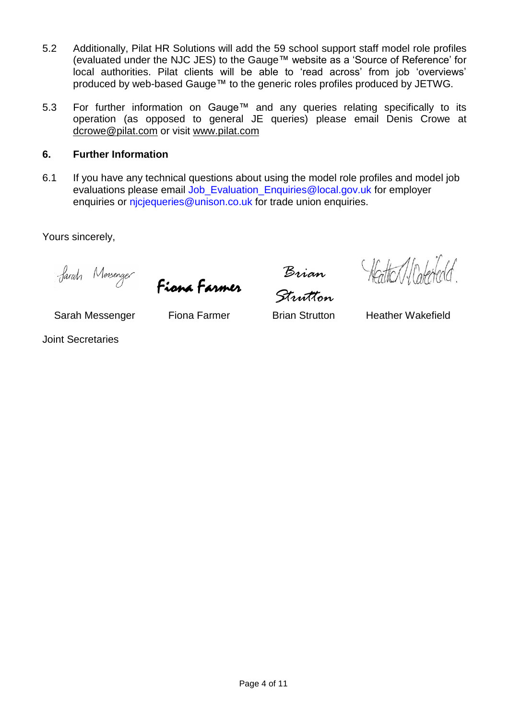- 5.2 Additionally, Pilat HR Solutions will add the 59 school support staff model role profiles (evaluated under the NJC JES) to the Gauge™ website as a 'Source of Reference' for local authorities. Pilat clients will be able to 'read across' from job 'overviews' produced by web-based Gauge™ to the generic roles profiles produced by JETWG.
- 5.3 For further information on Gauge™ and any queries relating specifically to its operation (as opposed to general JE queries) please email Denis Crowe at [dcrowe@pilat.com](mailto:dcrowe@pilat.com) or visit [www.pilat.com](http://www.pilat.com/)

## **6. Further Information**

6.1 If you have any technical questions about using the model role profiles and model job evaluations please email [Job\\_Evaluation\\_Enquiries@local.gov.uk](mailto:Job_Evaluation_Enquiries@local.gov.uk) for employer enquiries or niciequeries@unison.co.uk for trade union enquiries.

Yours sincerely,

Fiona Farmer

*Brian Strutton*

Hatter / Calededd.

Sarah Messenger Fiona Farmer Brian Strutton Heather Wakefield

Joint Secretaries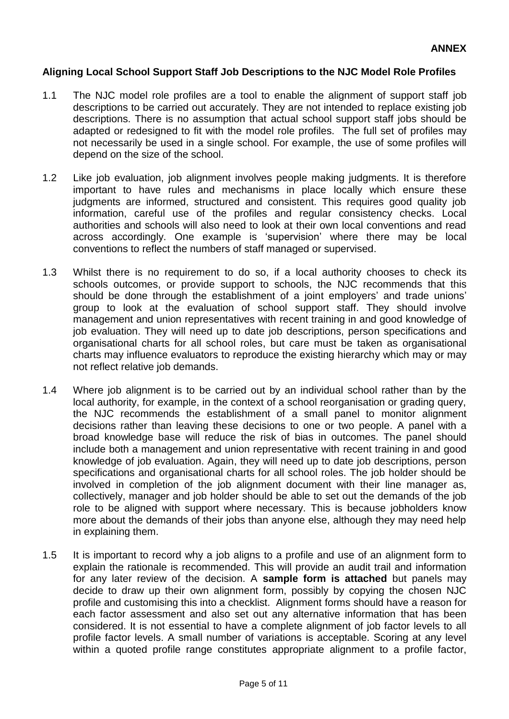#### **Aligning Local School Support Staff Job Descriptions to the NJC Model Role Profiles**

- 1.1 The NJC model role profiles are a tool to enable the alignment of support staff job descriptions to be carried out accurately. They are not intended to replace existing job descriptions. There is no assumption that actual school support staff jobs should be adapted or redesigned to fit with the model role profiles. The full set of profiles may not necessarily be used in a single school. For example, the use of some profiles will depend on the size of the school.
- 1.2 Like job evaluation, job alignment involves people making judgments. It is therefore important to have rules and mechanisms in place locally which ensure these judgments are informed, structured and consistent. This requires good quality job information, careful use of the profiles and regular consistency checks. Local authorities and schools will also need to look at their own local conventions and read across accordingly. One example is 'supervision' where there may be local conventions to reflect the numbers of staff managed or supervised.
- 1.3 Whilst there is no requirement to do so, if a local authority chooses to check its schools outcomes, or provide support to schools, the NJC recommends that this should be done through the establishment of a joint employers' and trade unions' group to look at the evaluation of school support staff. They should involve management and union representatives with recent training in and good knowledge of job evaluation. They will need up to date job descriptions, person specifications and organisational charts for all school roles, but care must be taken as organisational charts may influence evaluators to reproduce the existing hierarchy which may or may not reflect relative job demands.
- 1.4 Where job alignment is to be carried out by an individual school rather than by the local authority, for example, in the context of a school reorganisation or grading query, the NJC recommends the establishment of a small panel to monitor alignment decisions rather than leaving these decisions to one or two people. A panel with a broad knowledge base will reduce the risk of bias in outcomes. The panel should include both a management and union representative with recent training in and good knowledge of job evaluation. Again, they will need up to date job descriptions, person specifications and organisational charts for all school roles. The job holder should be involved in completion of the job alignment document with their line manager as, collectively, manager and job holder should be able to set out the demands of the job role to be aligned with support where necessary. This is because jobholders know more about the demands of their jobs than anyone else, although they may need help in explaining them.
- 1.5 It is important to record why a job aligns to a profile and use of an alignment form to explain the rationale is recommended. This will provide an audit trail and information for any later review of the decision. A **sample form is attached** but panels may decide to draw up their own alignment form, possibly by copying the chosen NJC profile and customising this into a checklist. Alignment forms should have a reason for each factor assessment and also set out any alternative information that has been considered. It is not essential to have a complete alignment of job factor levels to all profile factor levels. A small number of variations is acceptable. Scoring at any level within a quoted profile range constitutes appropriate alignment to a profile factor,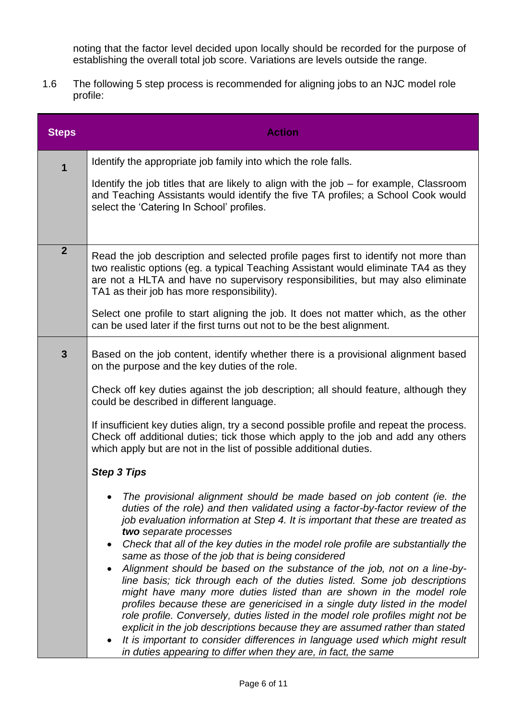noting that the factor level decided upon locally should be recorded for the purpose of establishing the overall total job score. Variations are levels outside the range.

1.6 The following 5 step process is recommended for aligning jobs to an NJC model role profile:

| <b>Steps</b>     | <b>Action</b>                                                                                                                                                                                                                                                                                                                                                                                                                                                                                                                                                                                                                   |  |  |  |
|------------------|---------------------------------------------------------------------------------------------------------------------------------------------------------------------------------------------------------------------------------------------------------------------------------------------------------------------------------------------------------------------------------------------------------------------------------------------------------------------------------------------------------------------------------------------------------------------------------------------------------------------------------|--|--|--|
| 1                | Identify the appropriate job family into which the role falls.                                                                                                                                                                                                                                                                                                                                                                                                                                                                                                                                                                  |  |  |  |
|                  | Identify the job titles that are likely to align with the job – for example, Classroom<br>and Teaching Assistants would identify the five TA profiles; a School Cook would<br>select the 'Catering In School' profiles.                                                                                                                                                                                                                                                                                                                                                                                                         |  |  |  |
| $\boldsymbol{2}$ | Read the job description and selected profile pages first to identify not more than<br>two realistic options (eg. a typical Teaching Assistant would eliminate TA4 as they<br>are not a HLTA and have no supervisory responsibilities, but may also eliminate<br>TA1 as their job has more responsibility).<br>Select one profile to start aligning the job. It does not matter which, as the other                                                                                                                                                                                                                             |  |  |  |
|                  | can be used later if the first turns out not to be the best alignment.                                                                                                                                                                                                                                                                                                                                                                                                                                                                                                                                                          |  |  |  |
| $\mathbf{3}$     | Based on the job content, identify whether there is a provisional alignment based<br>on the purpose and the key duties of the role.                                                                                                                                                                                                                                                                                                                                                                                                                                                                                             |  |  |  |
|                  | Check off key duties against the job description; all should feature, although they<br>could be described in different language.                                                                                                                                                                                                                                                                                                                                                                                                                                                                                                |  |  |  |
|                  | If insufficient key duties align, try a second possible profile and repeat the process.<br>Check off additional duties; tick those which apply to the job and add any others<br>which apply but are not in the list of possible additional duties.                                                                                                                                                                                                                                                                                                                                                                              |  |  |  |
|                  | <b>Step 3 Tips</b>                                                                                                                                                                                                                                                                                                                                                                                                                                                                                                                                                                                                              |  |  |  |
|                  | The provisional alignment should be made based on job content (ie. the<br>duties of the role) and then validated using a factor-by-factor review of the<br>job evaluation information at Step 4. It is important that these are treated as<br>two separate processes                                                                                                                                                                                                                                                                                                                                                            |  |  |  |
|                  | Check that all of the key duties in the model role profile are substantially the<br>same as those of the job that is being considered                                                                                                                                                                                                                                                                                                                                                                                                                                                                                           |  |  |  |
|                  | Alignment should be based on the substance of the job, not on a line-by-<br>line basis; tick through each of the duties listed. Some job descriptions<br>might have many more duties listed than are shown in the model role<br>profiles because these are genericised in a single duty listed in the model<br>role profile. Conversely, duties listed in the model role profiles might not be<br>explicit in the job descriptions because they are assumed rather than stated<br>It is important to consider differences in language used which might result<br>in duties appearing to differ when they are, in fact, the same |  |  |  |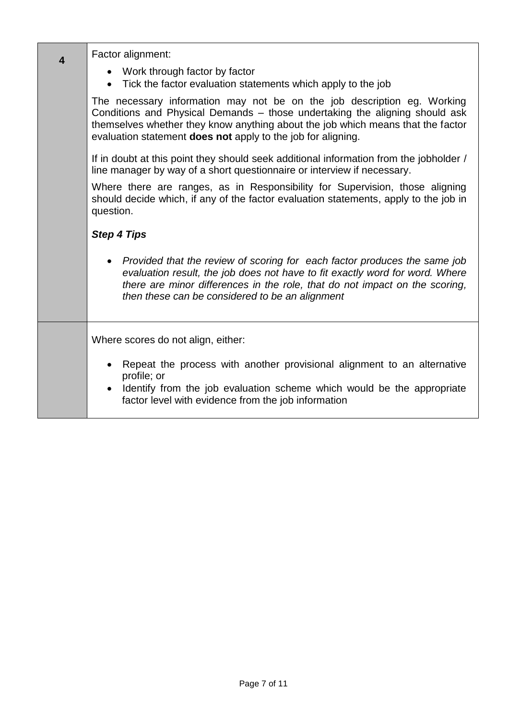| 4 | Factor alignment:                                                                                                                                                                                                                                                                                         |  |  |  |  |
|---|-----------------------------------------------------------------------------------------------------------------------------------------------------------------------------------------------------------------------------------------------------------------------------------------------------------|--|--|--|--|
|   | • Work through factor by factor<br>• Tick the factor evaluation statements which apply to the job                                                                                                                                                                                                         |  |  |  |  |
|   | The necessary information may not be on the job description eg. Working<br>Conditions and Physical Demands - those undertaking the aligning should ask<br>themselves whether they know anything about the job which means that the factor<br>evaluation statement does not apply to the job for aligning. |  |  |  |  |
|   | If in doubt at this point they should seek additional information from the jobholder /<br>line manager by way of a short questionnaire or interview if necessary.                                                                                                                                         |  |  |  |  |
|   | Where there are ranges, as in Responsibility for Supervision, those aligning<br>should decide which, if any of the factor evaluation statements, apply to the job in<br>question.                                                                                                                         |  |  |  |  |
|   | <b>Step 4 Tips</b>                                                                                                                                                                                                                                                                                        |  |  |  |  |
|   | Provided that the review of scoring for each factor produces the same job<br>$\bullet$<br>evaluation result, the job does not have to fit exactly word for word. Where<br>there are minor differences in the role, that do not impact on the scoring,<br>then these can be considered to be an alignment  |  |  |  |  |
|   | Where scores do not align, either:                                                                                                                                                                                                                                                                        |  |  |  |  |
|   | Repeat the process with another provisional alignment to an alternative<br>profile; or<br>Identify from the job evaluation scheme which would be the appropriate<br>$\bullet$<br>factor level with evidence from the job information                                                                      |  |  |  |  |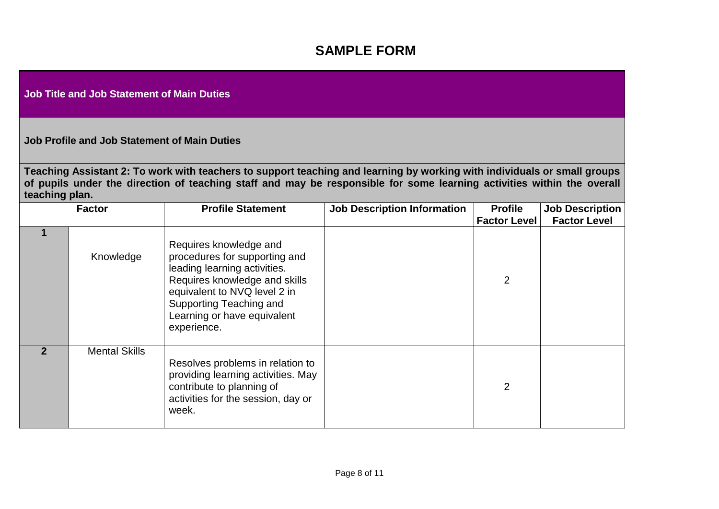## **SAMPLE FORM**

**Job Title and Job Statement of Main Duties**

**Job Profile and Job Statement of Main Duties**

**Teaching Assistant 2: To work with teachers to support teaching and learning by working with individuals or small groups of pupils under the direction of teaching staff and may be responsible for some learning activities within the overall teaching plan.**

| <b>Factor</b> |                      | <b>Profile Statement</b>                                                                                                                                                                                                          | <b>Job Description Information</b> | <b>Profile</b>      | <b>Job Description</b> |
|---------------|----------------------|-----------------------------------------------------------------------------------------------------------------------------------------------------------------------------------------------------------------------------------|------------------------------------|---------------------|------------------------|
|               |                      |                                                                                                                                                                                                                                   |                                    | <b>Factor Level</b> | <b>Factor Level</b>    |
|               | Knowledge            | Requires knowledge and<br>procedures for supporting and<br>leading learning activities.<br>Requires knowledge and skills<br>equivalent to NVQ level 2 in<br>Supporting Teaching and<br>Learning or have equivalent<br>experience. |                                    | $\overline{2}$      |                        |
| $\mathbf{2}$  | <b>Mental Skills</b> | Resolves problems in relation to<br>providing learning activities. May<br>contribute to planning of<br>activities for the session, day or<br>week.                                                                                |                                    | $\overline{2}$      |                        |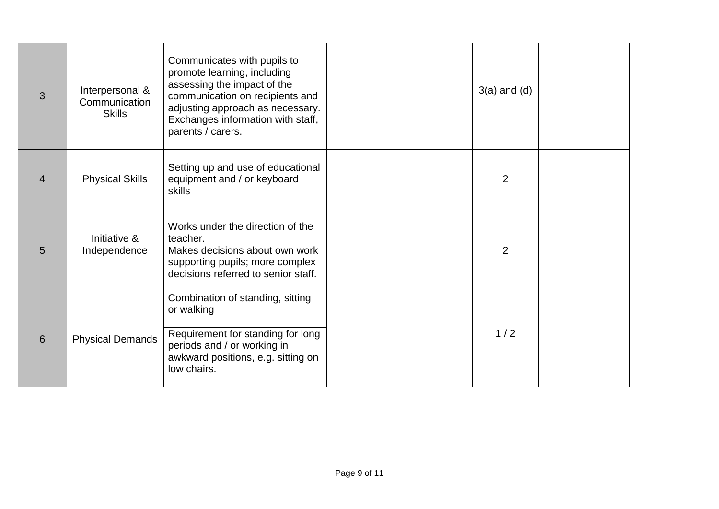| 3              | Interpersonal &<br>Communication<br><b>Skills</b> | Communicates with pupils to<br>promote learning, including<br>assessing the impact of the<br>communication on recipients and<br>adjusting approach as necessary.<br>Exchanges information with staff,<br>parents / carers. | $3(a)$ and $(d)$ |  |
|----------------|---------------------------------------------------|----------------------------------------------------------------------------------------------------------------------------------------------------------------------------------------------------------------------------|------------------|--|
| $\overline{4}$ | <b>Physical Skills</b>                            | Setting up and use of educational<br>equipment and / or keyboard<br>skills                                                                                                                                                 | 2                |  |
| 5              | Initiative &<br>Independence                      | Works under the direction of the<br>teacher.<br>Makes decisions about own work<br>supporting pupils; more complex<br>decisions referred to senior staff.                                                                   | 2                |  |
| 6              | <b>Physical Demands</b>                           | Combination of standing, sitting<br>or walking<br>Requirement for standing for long<br>periods and / or working in<br>awkward positions, e.g. sitting on<br>low chairs.                                                    | 1/2              |  |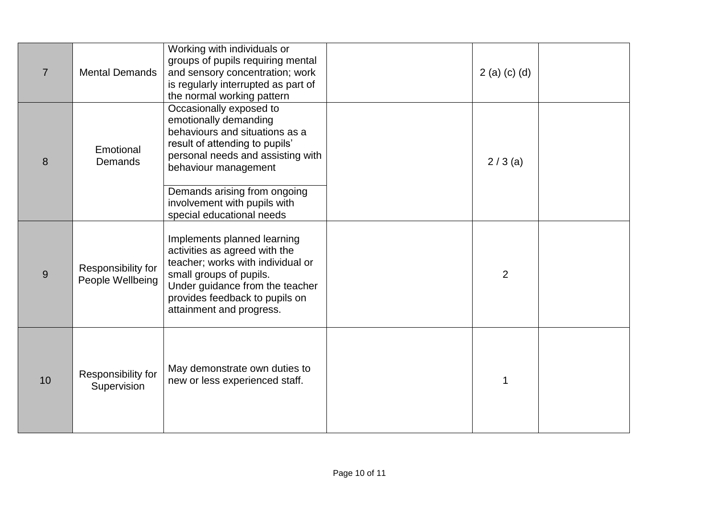| $\overline{7}$ | <b>Mental Demands</b>                  | Working with individuals or<br>groups of pupils requiring mental<br>and sensory concentration; work<br>is regularly interrupted as part of<br>the normal working pattern                                                      | 2(a) (c) (d)   |  |
|----------------|----------------------------------------|-------------------------------------------------------------------------------------------------------------------------------------------------------------------------------------------------------------------------------|----------------|--|
| 8              | Emotional<br>Demands                   | Occasionally exposed to<br>emotionally demanding<br>behaviours and situations as a<br>result of attending to pupils'<br>personal needs and assisting with<br>behaviour management                                             | $2/3$ (a)      |  |
|                |                                        | Demands arising from ongoing<br>involvement with pupils with<br>special educational needs                                                                                                                                     |                |  |
| 9              | Responsibility for<br>People Wellbeing | Implements planned learning<br>activities as agreed with the<br>teacher; works with individual or<br>small groups of pupils.<br>Under guidance from the teacher<br>provides feedback to pupils on<br>attainment and progress. | $\overline{2}$ |  |
| 10             | Responsibility for<br>Supervision      | May demonstrate own duties to<br>new or less experienced staff.                                                                                                                                                               | 1              |  |